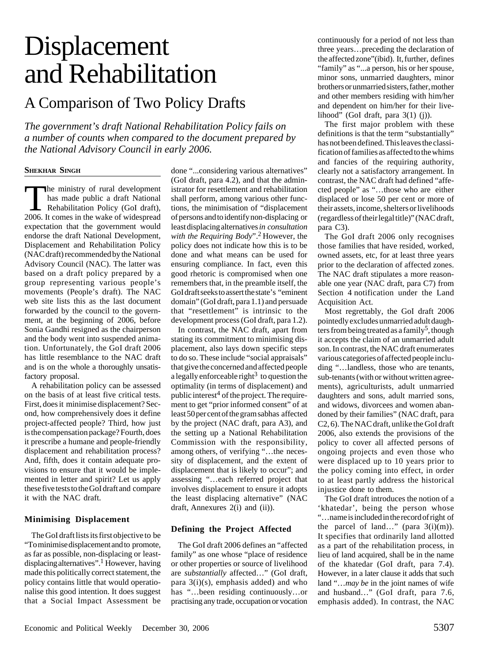# Displacement and Rehabilitation

# A Comparison of Two Policy Drafts

*The government's draft National Rehabilitation Policy fails on a number of counts when compared to the document prepared by the National Advisory Council in early 2006.*

### **SHEKHAR SINGH**

The ministry of rural development has made public a draft National Rehabilitation Policy (GoI draft), 2006. It comes in the wake of widespread expectation that the government would endorse the draft National Development, Displacement and Rehabilitation Policy (NAC draft) recommended by the National Advisory Council (NAC). The latter was based on a draft policy prepared by a group representing various people's movements (People's draft). The NAC web site lists this as the last document forwarded by the council to the government, at the beginning of 2006, before Sonia Gandhi resigned as the chairperson and the body went into suspended animation. Unfortunately, the GoI draft 2006 has little resemblance to the NAC draft and is on the whole a thoroughly unsatisfactory proposal.

A rehabilitation policy can be assessed on the basis of at least five critical tests. First, does it minimise displacement? Second, how comprehensively does it define project-affected people? Third, how just is the compensation package? Fourth, does it prescribe a humane and people-friendly displacement and rehabilitation process? And, fifth, does it contain adequate provisions to ensure that it would be implemented in letter and spirit? Let us apply these five tests to the GoI draft and compare it with the NAC draft.

## **Minimising Displacement**

The GoI draft lists its first objective to be "To minimise displacement and to promote, as far as possible, non-displacing or leastdisplacing alternatives".1 However, having made this politically correct statement, the policy contains little that would operationalise this good intention. It does suggest that a Social Impact Assessment be

done "...considering various alternatives" (GoI draft, para 4.2), and that the administrator for resettlement and rehabilitation shall perform, among various other functions, the minimisation of "displacement of persons and to identify non-displacing or least displacing alternatives *in consultation with the Requiring Body*".<sup>2</sup> However, the policy does not indicate how this is to be done and what means can be used for ensuring compliance. In fact, even this good rhetoric is compromised when one remembers that, in the preamble itself, the GoI draft seeks to assert the state's "eminent domain" (GoI draft, para 1.1) and persuade that "resettlement" is intrinsic to the development process (GoI draft, para 1.2).

In contrast, the NAC draft, apart from stating its commitment to minimising displacement, also lays down specific steps to do so. These include "social appraisals" that give the concerned and affected people a legally enforceable right $3$  to question the optimality (in terms of displacement) and public interest<sup>4</sup> of the project. The requirement to get "prior informed consent" of at least 50 per cent of the gram sabhas affected by the project (NAC draft, para A3), and the setting up a National Rehabilitation Commission with the responsibility, among others, of verifying "…the necessity of displacement, and the extent of displacement that is likely to occur"; and assessing "…each referred project that involves displacement to ensure it adopts the least displacing alternative" (NAC draft, Annexures 2(i) and (ii)).

### **Defining the Project Affected**

The GoI draft 2006 defines an "affected family" as one whose "place of residence or other properties or source of livelihood are *substantially* affected…" (GoI draft, para 3(i)(s), emphasis added) and who has "…been residing continuously…or practising any trade, occupation or vocation

continuously for a period of not less than three years…preceding the declaration of the affected zone"(ibid). It, further, defines "family" as "...a person, his or her spouse, minor sons, unmarried daughters, minor brothers or unmarried sisters, father, mother and other members residing with him/her and dependent on him/her for their livelihood" (GoI draft, para 3(1) (j)).

The first major problem with these definitions is that the term "substantially" has not been defined. This leaves the classification of families as affected to the whims and fancies of the requiring authority, clearly not a satisfactory arrangement. In contrast, the NAC draft had defined "affected people" as "…those who are either displaced or lose 50 per cent or more of their assets, income, shelters or livelihoods (regardless of their legal title)" (NAC draft, para C3).

The GoI draft 2006 only recognises those families that have resided, worked, owned assets, etc, for at least three years prior to the declaration of affected zones. The NAC draft stipulates a more reasonable one year (NAC draft, para C7) from Section 4 notification under the Land Acquisition Act.

Most regrettably, the GoI draft 2006 pointedly excludes unmarried adult daughters from being treated as a family<sup>5</sup>, though it accepts the claim of an unmarried adult son. In contrast, the NAC draft enumerates various categories of affected people including "…landless, those who are tenants, sub-tenants (with or without written agreements), agriculturists, adult unmarried daughters and sons, adult married sons, and widows, divorcees and women abandoned by their families" (NAC draft, para C2, 6). The NAC draft, unlike the GoI draft 2006, also extends the provisions of the policy to cover all affected persons of ongoing projects and even those who were displaced up to 10 years prior to the policy coming into effect, in order to at least partly address the historical injustice done to them.

The GoI draft introduces the notion of a 'khatedar', being the person whose "…name is included in the record of right of the parcel of land..." (para  $3(i)(m)$ ). It specifies that ordinarily land allotted as a part of the rehabilitation process, in lieu of land acquired, shall be in the name of the khatedar (GoI draft, para 7.4). However, in a later clause it adds that such land "…*may be* in the joint names of wife and husband…" (GoI draft, para 7.6, emphasis added). In contrast, the NAC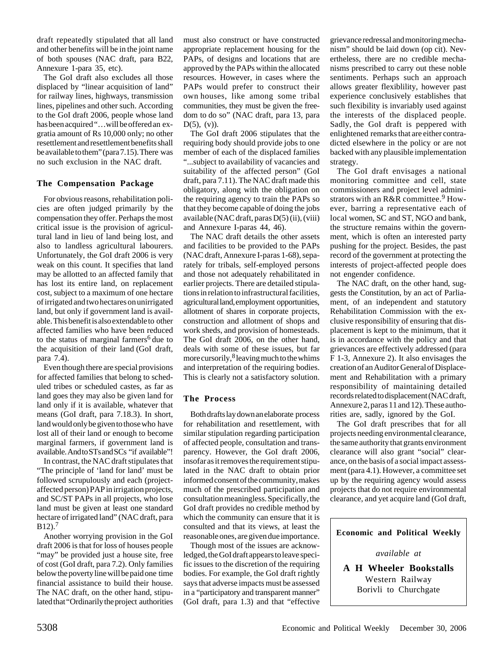draft repeatedly stipulated that all land and other benefits will be in the joint name of both spouses (NAC draft, para B22, Annexure 1-para 35, etc).

The GoI draft also excludes all those displaced by "linear acquisition of land" for railway lines, highways, transmission lines, pipelines and other such. According to the GoI draft 2006, people whose land has been acquired "…will be offered an exgratia amount of Rs 10,000 only; no other resettlement and resettlement benefits shall be available to them" (para 7.15). There was no such exclusion in the NAC draft.

### **The Compensation Package**

For obvious reasons, rehabilitation policies are often judged primarily by the compensation they offer. Perhaps the most critical issue is the provision of agricultural land in lieu of land being lost, and also to landless agricultural labourers. Unfortunately, the GoI draft 2006 is very weak on this count. It specifies that land may be allotted to an affected family that has lost its entire land, on replacement cost, subject to a maximum of one hectare of irrigated and two hectares on unirrigated land, but only if government land is available. This benefit is also extendable to other affected families who have been reduced to the status of marginal farmers<sup>6</sup> due to the acquisition of their land (GoI draft, para 7.4).

Even though there are special provisions for affected families that belong to scheduled tribes or scheduled castes, as far as land goes they may also be given land for land only if it is available, whatever that means (GoI draft, para 7.18.3). In short, land would only be given to those who have lost all of their land or enough to become marginal farmers, if government land is available. And to STs and SCs "if available"!

In contrast, the NAC draft stipulates that "The principle of 'land for land' must be followed scrupulously and each (projectaffected person) PAP in irrigation projects, and SC/ST PAPs in all projects, who lose land must be given at least one standard hectare of irrigated land" (NAC draft, para B12).7

Another worrying provision in the GoI draft 2006 is that for loss of houses people "may" be provided just a house site, free of cost (GoI draft, para 7.2). Only families below the poverty line will be paid one time financial assistance to build their house. The NAC draft, on the other hand, stipulated that "Ordinarily the project authorities

must also construct or have constructed appropriate replacement housing for the PAPs, of designs and locations that are approved by the PAPs within the allocated resources. However, in cases where the PAPs would prefer to construct their own houses, like among some tribal communities, they must be given the freedom to do so" (NAC draft, para 13, para D(5),  $(v)$ ).

The GoI draft 2006 stipulates that the requiring body should provide jobs to one member of each of the displaced families "...subject to availability of vacancies and suitability of the affected person" (GoI draft, para 7.11). The NAC draft made this obligatory, along with the obligation on the requiring agency to train the PAPs so that they become capable of doing the jobs available (NAC draft, paras D(5) (ii), (viii) and Annexure I-paras 44, 46).

The NAC draft details the other assets and facilities to be provided to the PAPs (NAC draft, Annexure I-paras 1-68), separately for tribals, self-employed persons and those not adequately rehabilitated in earlier projects. There are detailed stipulations in relation to infrastructural facilities, agricultural land, employment opportunities, allotment of shares in corporate projects, construction and allotment of shops and work sheds, and provision of homesteads. The GoI draft 2006, on the other hand, deals with some of these issues, but far more cursorily, $8$  leaving much to the whims and interpretation of the requiring bodies. This is clearly not a satisfactory solution.

#### **The Process**

Both drafts lay down an elaborate process for rehabilitation and resettlement, with similar stipulation regarding participation of affected people, consultation and transparency. However, the GoI draft 2006, insofar as it removes the requirement stipulated in the NAC draft to obtain prior informed consent of the community, makes much of the prescribed participation and consultation meaningless. Specifically, the GoI draft provides no credible method by which the community can ensure that it is consulted and that its views, at least the reasonable ones, are given due importance.

Though most of the issues are acknowledged, the GoI draft appears to leave specific issues to the discretion of the requiring bodies. For example, the GoI draft rightly says that adverse impacts must be assessed in a "participatory and transparent manner" (GoI draft, para 1.3) and that "effective

grievance redressal and monitoring mechanism" should be laid down (op cit). Nevertheless, there are no credible mechanisms prescribed to carry out these noble sentiments. Perhaps such an approach allows greater flexiblility, however past experience conclusively establishes that such flexibility is invariably used against the interests of the displaced people. Sadly, the GoI draft is peppered with enlightened remarks that are either contradicted elsewhere in the policy or are not backed with any plausible implementation strategy.

The GoI draft envisages a national monitoring committee and cell, state commissioners and project level administrators with an R&R committee.<sup>9</sup> However, barring a representative each of local women, SC and ST, NGO and bank, the structure remains within the government, which is often an interested party pushing for the project. Besides, the past record of the government at protecting the interests of project-affected people does not engender confidence.

The NAC draft, on the other hand, suggests the Constitution, by an act of Parliament, of an independent and statutory Rehabilitation Commission with the exclusive responsibility of ensuring that displacement is kept to the minimum, that it is in accordance with the policy and that grievances are effectively addressed (para F 1-3, Annexure 2). It also envisages the creation of an Auditor General of Displacement and Rehabilitation with a primary responsibility of maintaining detailed records related to displacement (NAC draft, Annexure 2, paras 11 and 12). These authorities are, sadly, ignored by the GoI.

The GoI draft prescribes that for all projects needing environmental clearance, the same authority that grants environment clearance will also grant "social" clearance, on the basis of a social impact assessment (para 4.1). However, a committee set up by the requiring agency would assess projects that do not require environmental clearance, and yet acquire land (GoI draft,